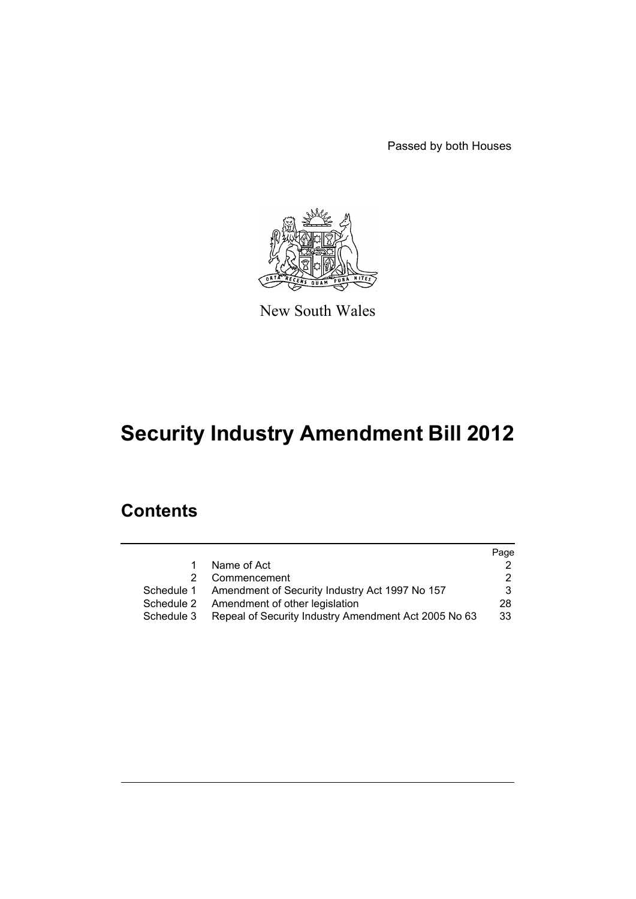Passed by both Houses



New South Wales

# **Security Industry Amendment Bill 2012**

# **Contents**

|               |                                                           | Page |
|---------------|-----------------------------------------------------------|------|
| 1.            | Name of Act                                               |      |
| $\mathcal{P}$ | Commencement                                              |      |
|               | Schedule 1 Amendment of Security Industry Act 1997 No 157 |      |
| Schedule 2    | Amendment of other legislation                            | 28   |
| Schedule 3    | Repeal of Security Industry Amendment Act 2005 No 63      | 33   |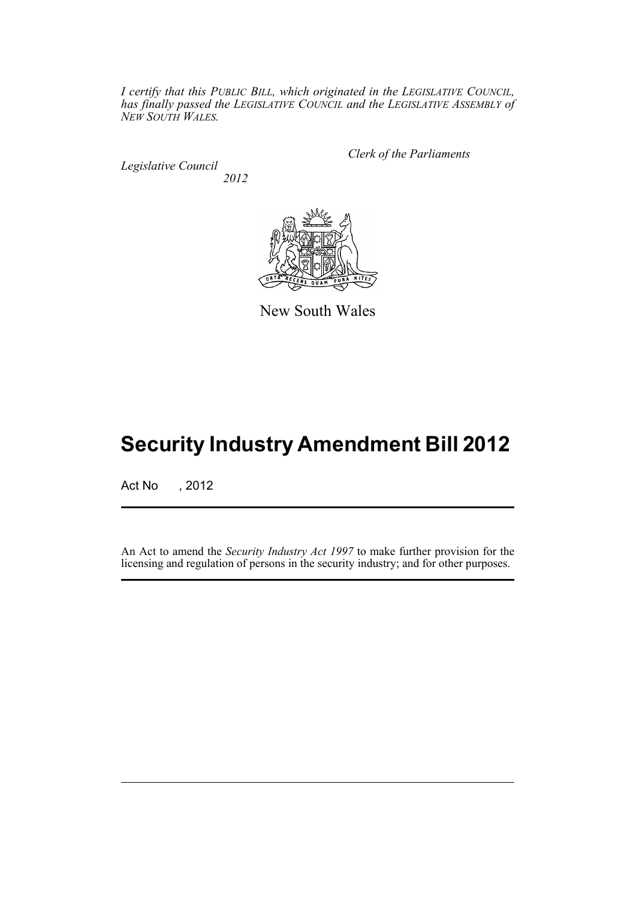*I certify that this PUBLIC BILL, which originated in the LEGISLATIVE COUNCIL, has finally passed the LEGISLATIVE COUNCIL and the LEGISLATIVE ASSEMBLY of NEW SOUTH WALES.*

*Legislative Council 2012* *Clerk of the Parliaments*



New South Wales

# **Security Industry Amendment Bill 2012**

Act No , 2012

An Act to amend the *Security Industry Act 1997* to make further provision for the licensing and regulation of persons in the security industry; and for other purposes.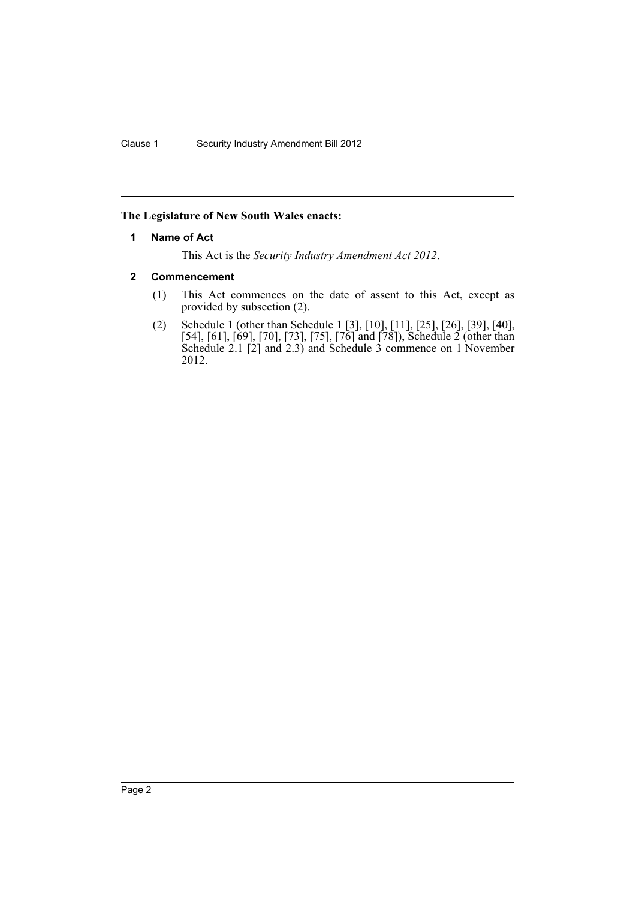## <span id="page-3-0"></span>**The Legislature of New South Wales enacts:**

## **1 Name of Act**

This Act is the *Security Industry Amendment Act 2012*.

## <span id="page-3-1"></span>**2 Commencement**

- (1) This Act commences on the date of assent to this Act, except as provided by subsection (2).
- (2) Schedule 1 (other than Schedule 1 [3], [10], [11], [25], [26], [39], [40], [54], [61], [69], [70], [73], [75], [76] and [78]), Schedule 2 (other than Schedule 2.1 [2] and 2.3) and Schedule 3 commence on 1 November 2012.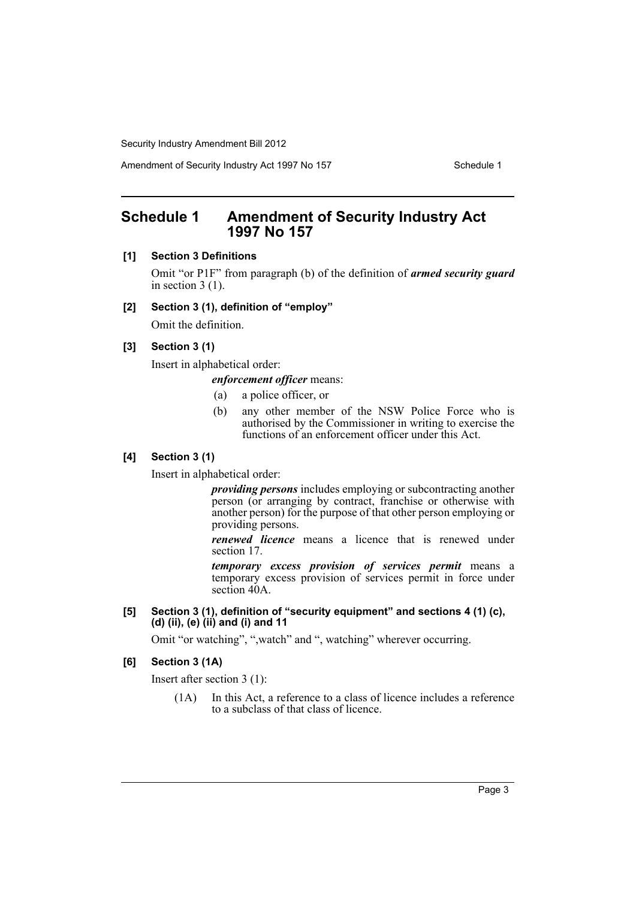Amendment of Security Industry Act 1997 No 157 Schedule 1

# <span id="page-4-0"></span>**Schedule 1 Amendment of Security Industry Act 1997 No 157**

## **[1] Section 3 Definitions**

Omit "or P1F" from paragraph (b) of the definition of *armed security guard* in section 3 (1).

#### **[2] Section 3 (1), definition of "employ"**

Omit the definition.

## **[3] Section 3 (1)**

Insert in alphabetical order:

## *enforcement officer* means:

- (a) a police officer, or
- (b) any other member of the NSW Police Force who is authorised by the Commissioner in writing to exercise the functions of an enforcement officer under this Act.

## **[4] Section 3 (1)**

Insert in alphabetical order:

*providing persons* includes employing or subcontracting another person (or arranging by contract, franchise or otherwise with another person) for the purpose of that other person employing or providing persons.

*renewed licence* means a licence that is renewed under section 17.

*temporary excess provision of services permit* means a temporary excess provision of services permit in force under section 40A.

**[5] Section 3 (1), definition of "security equipment" and sections 4 (1) (c), (d) (ii), (e) (ii) and (i) and 11**

Omit "or watching", ",watch" and ", watching" wherever occurring.

## **[6] Section 3 (1A)**

Insert after section 3 (1):

(1A) In this Act, a reference to a class of licence includes a reference to a subclass of that class of licence.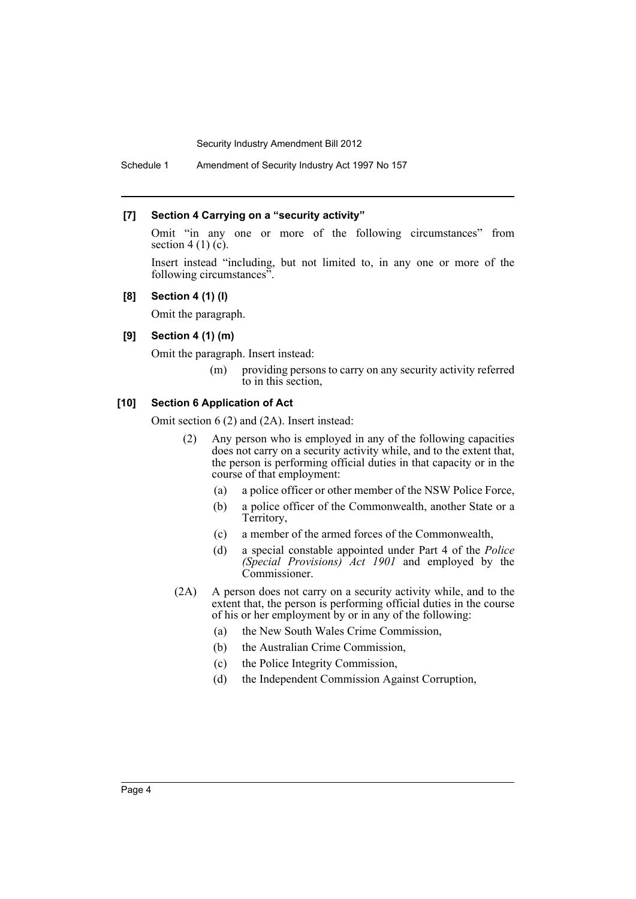## **[7] Section 4 Carrying on a "security activity"**

Omit "in any one or more of the following circumstances" from section 4 (1)  $(c)$ .

Insert instead "including, but not limited to, in any one or more of the following circumstances".

## **[8] Section 4 (1) (l)**

Omit the paragraph.

## **[9] Section 4 (1) (m)**

Omit the paragraph. Insert instead:

(m) providing persons to carry on any security activity referred to in this section,

## **[10] Section 6 Application of Act**

Omit section 6 (2) and (2A). Insert instead:

- (2) Any person who is employed in any of the following capacities does not carry on a security activity while, and to the extent that, the person is performing official duties in that capacity or in the course of that employment:
	- (a) a police officer or other member of the NSW Police Force,
	- (b) a police officer of the Commonwealth, another State or a Territory,
	- (c) a member of the armed forces of the Commonwealth,
	- (d) a special constable appointed under Part 4 of the *Police (Special Provisions) Act 1901* and employed by the Commissioner.
- (2A) A person does not carry on a security activity while, and to the extent that, the person is performing official duties in the course of his or her employment by or in any of the following:
	- (a) the New South Wales Crime Commission,
	- (b) the Australian Crime Commission,
	- (c) the Police Integrity Commission,
	- (d) the Independent Commission Against Corruption,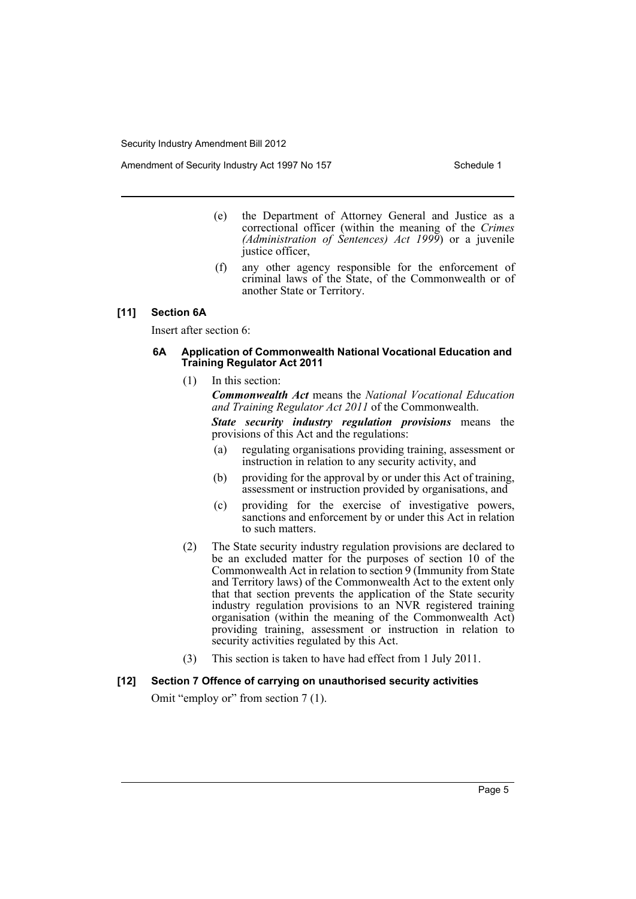Amendment of Security Industry Act 1997 No 157 Schedule 1

- (e) the Department of Attorney General and Justice as a correctional officer (within the meaning of the *Crimes (Administration of Sentences) Act 1999*) or a juvenile justice officer,
- (f) any other agency responsible for the enforcement of criminal laws of the State, of the Commonwealth or of another State or Territory.

## **[11] Section 6A**

Insert after section 6:

### **6A Application of Commonwealth National Vocational Education and Training Regulator Act 2011**

(1) In this section:

*Commonwealth Act* means the *National Vocational Education and Training Regulator Act 2011* of the Commonwealth.

*State security industry regulation provisions* means the provisions of this Act and the regulations:

- (a) regulating organisations providing training, assessment or instruction in relation to any security activity, and
- (b) providing for the approval by or under this Act of training, assessment or instruction provided by organisations, and
- (c) providing for the exercise of investigative powers, sanctions and enforcement by or under this Act in relation to such matters.
- (2) The State security industry regulation provisions are declared to be an excluded matter for the purposes of section 10 of the Commonwealth Act in relation to section 9 (Immunity from State and Territory laws) of the Commonwealth Act to the extent only that that section prevents the application of the State security industry regulation provisions to an NVR registered training organisation (within the meaning of the Commonwealth Act) providing training, assessment or instruction in relation to security activities regulated by this Act.
- (3) This section is taken to have had effect from 1 July 2011.

# **[12] Section 7 Offence of carrying on unauthorised security activities**

Omit "employ or" from section 7(1).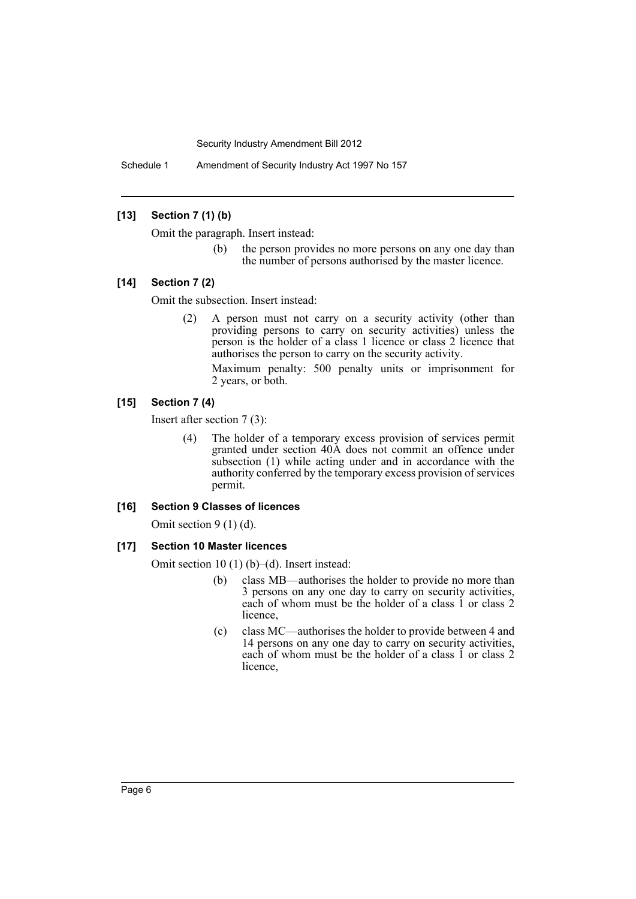Schedule 1 Amendment of Security Industry Act 1997 No 157

## **[13] Section 7 (1) (b)**

Omit the paragraph. Insert instead:

(b) the person provides no more persons on any one day than the number of persons authorised by the master licence.

## **[14] Section 7 (2)**

Omit the subsection. Insert instead:

(2) A person must not carry on a security activity (other than providing persons to carry on security activities) unless the person is the holder of a class 1 licence or class 2 licence that authorises the person to carry on the security activity.

Maximum penalty: 500 penalty units or imprisonment for 2 years, or both.

## **[15] Section 7 (4)**

Insert after section 7 (3):

(4) The holder of a temporary excess provision of services permit granted under section 40A does not commit an offence under subsection (1) while acting under and in accordance with the authority conferred by the temporary excess provision of services permit.

#### **[16] Section 9 Classes of licences**

Omit section 9 (1) (d).

## **[17] Section 10 Master licences**

Omit section 10 (1) (b)–(d). Insert instead:

- (b) class MB—authorises the holder to provide no more than 3 persons on any one day to carry on security activities, each of whom must be the holder of a class 1 or class 2 licence,
- (c) class MC—authorises the holder to provide between 4 and 14 persons on any one day to carry on security activities, each of whom must be the holder of a class 1 or class 2 licence,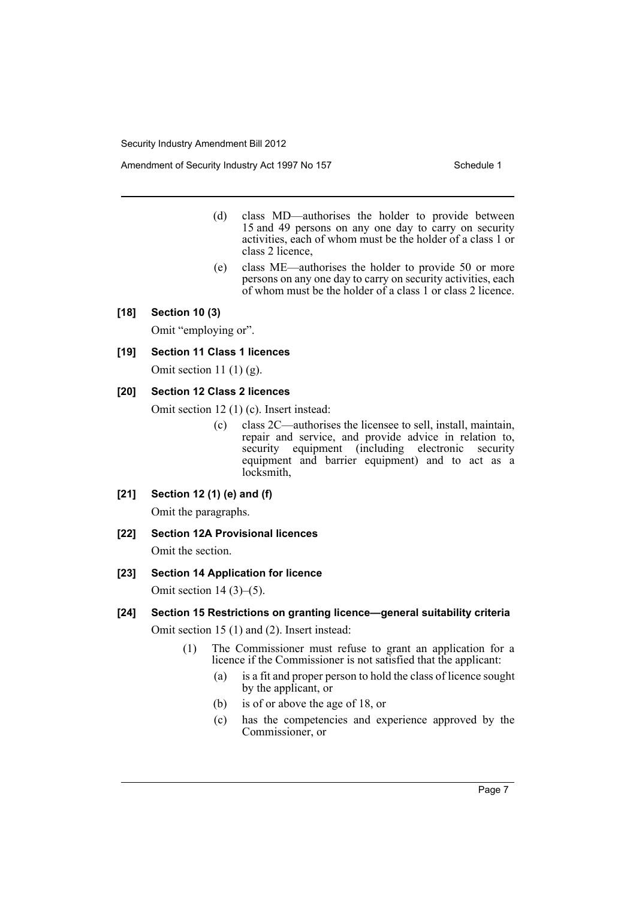Amendment of Security Industry Act 1997 No 157 Schedule 1

- (d) class MD—authorises the holder to provide between 15 and 49 persons on any one day to carry on security activities, each of whom must be the holder of a class 1 or class 2 licence,
- (e) class ME—authorises the holder to provide 50 or more persons on any one day to carry on security activities, each of whom must be the holder of a class 1 or class 2 licence.

## **[18] Section 10 (3)**

Omit "employing or".

## **[19] Section 11 Class 1 licences**

Omit section 11 $(1)$  $(g)$ .

## **[20] Section 12 Class 2 licences**

Omit section 12 (1) (c). Insert instead:

(c) class 2C—authorises the licensee to sell, install, maintain, repair and service, and provide advice in relation to, security equipment (including electronic security equipment and barrier equipment) and to act as a locksmith,

## **[21] Section 12 (1) (e) and (f)**

Omit the paragraphs.

## **[22] Section 12A Provisional licences**

Omit the section.

## **[23] Section 14 Application for licence**

Omit section  $14(3)$ – $(5)$ .

## **[24] Section 15 Restrictions on granting licence—general suitability criteria**

Omit section 15 (1) and (2). Insert instead:

- (1) The Commissioner must refuse to grant an application for a licence if the Commissioner is not satisfied that the applicant:
	- (a) is a fit and proper person to hold the class of licence sought by the applicant, or
	- (b) is of or above the age of 18, or
	- (c) has the competencies and experience approved by the Commissioner, or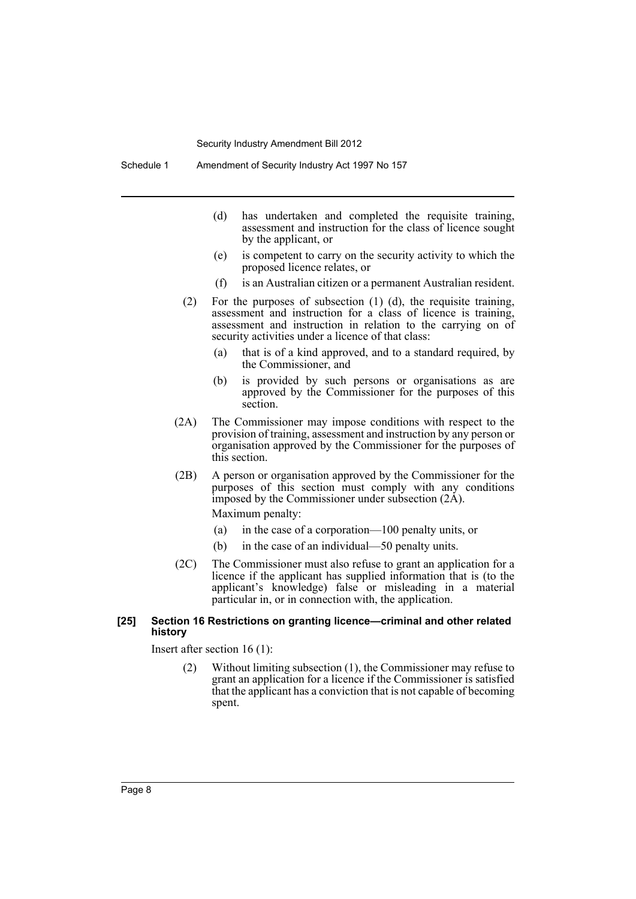- (d) has undertaken and completed the requisite training, assessment and instruction for the class of licence sought by the applicant, or
- (e) is competent to carry on the security activity to which the proposed licence relates, or
- (f) is an Australian citizen or a permanent Australian resident.
- (2) For the purposes of subsection (1) (d), the requisite training, assessment and instruction for a class of licence is training, assessment and instruction in relation to the carrying on of security activities under a licence of that class:
	- (a) that is of a kind approved, and to a standard required, by the Commissioner, and
	- (b) is provided by such persons or organisations as are approved by the Commissioner for the purposes of this section.
- (2A) The Commissioner may impose conditions with respect to the provision of training, assessment and instruction by any person or organisation approved by the Commissioner for the purposes of this section.
- (2B) A person or organisation approved by the Commissioner for the purposes of this section must comply with any conditions imposed by the Commissioner under subsection (2A).

Maximum penalty:

- (a) in the case of a corporation—100 penalty units, or
- (b) in the case of an individual—50 penalty units.
- (2C) The Commissioner must also refuse to grant an application for a licence if the applicant has supplied information that is (to the applicant's knowledge) false or misleading in a material particular in, or in connection with, the application.

## **[25] Section 16 Restrictions on granting licence—criminal and other related history**

Insert after section 16 (1):

(2) Without limiting subsection (1), the Commissioner may refuse to grant an application for a licence if the Commissioner is satisfied that the applicant has a conviction that is not capable of becoming spent.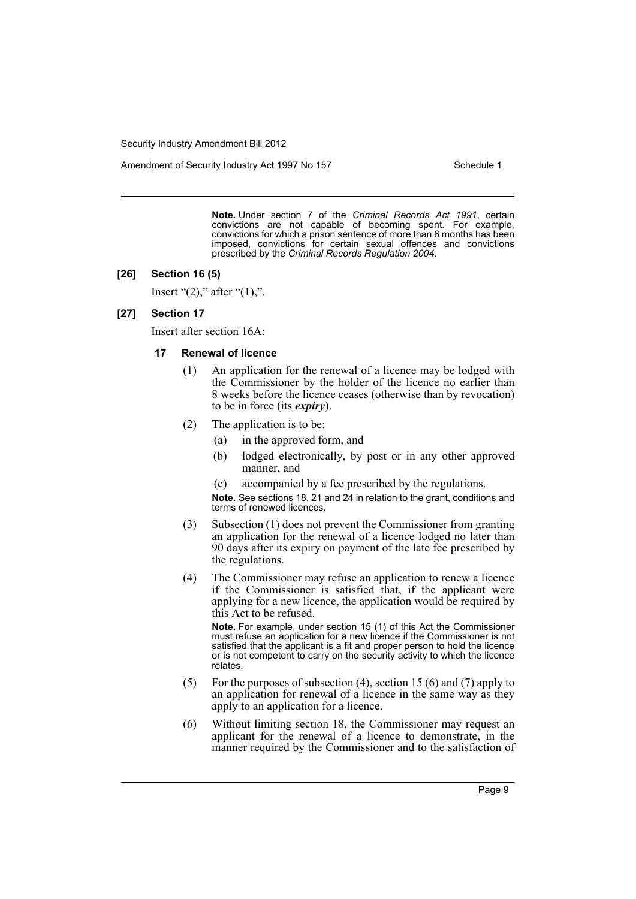Amendment of Security Industry Act 1997 No 157 Schedule 1

**Note.** Under section 7 of the *Criminal Records Act 1991*, certain convictions are not capable of becoming spent. For example, convictions for which a prison sentence of more than 6 months has been imposed, convictions for certain sexual offences and convictions prescribed by the *Criminal Records Regulation 2004*.

#### **[26] Section 16 (5)**

Insert " $(2)$ ," after " $(1)$ ,".

## **[27] Section 17**

Insert after section 16A:

#### **17 Renewal of licence**

- (1) An application for the renewal of a licence may be lodged with the Commissioner by the holder of the licence no earlier than 8 weeks before the licence ceases (otherwise than by revocation) to be in force (its *expiry*).
- (2) The application is to be:
	- (a) in the approved form, and
	- (b) lodged electronically, by post or in any other approved manner, and
	- (c) accompanied by a fee prescribed by the regulations.

**Note.** See sections 18, 21 and 24 in relation to the grant, conditions and terms of renewed licences.

- (3) Subsection (1) does not prevent the Commissioner from granting an application for the renewal of a licence lodged no later than 90 days after its expiry on payment of the late fee prescribed by the regulations.
- (4) The Commissioner may refuse an application to renew a licence if the Commissioner is satisfied that, if the applicant were applying for a new licence, the application would be required by this Act to be refused.

**Note.** For example, under section 15 (1) of this Act the Commissioner must refuse an application for a new licence if the Commissioner is not satisfied that the applicant is a fit and proper person to hold the licence or is not competent to carry on the security activity to which the licence relates.

- (5) For the purposes of subsection (4), section 15 (6) and (7) apply to an application for renewal of a licence in the same way as they apply to an application for a licence.
- (6) Without limiting section 18, the Commissioner may request an applicant for the renewal of a licence to demonstrate, in the manner required by the Commissioner and to the satisfaction of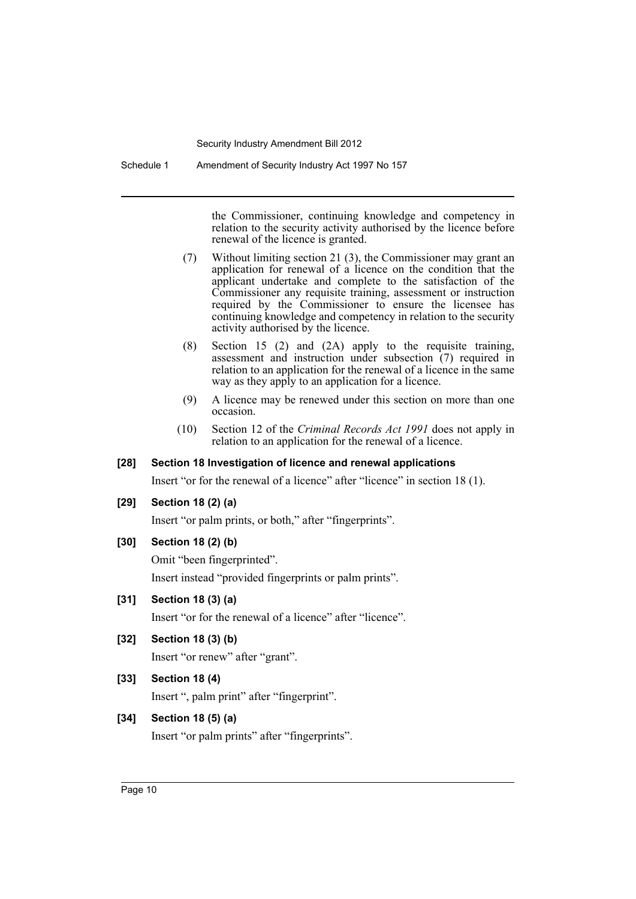Schedule 1 Amendment of Security Industry Act 1997 No 157

the Commissioner, continuing knowledge and competency in relation to the security activity authorised by the licence before renewal of the licence is granted.

- (7) Without limiting section 21 (3), the Commissioner may grant an application for renewal of a licence on the condition that the applicant undertake and complete to the satisfaction of the Commissioner any requisite training, assessment or instruction required by the Commissioner to ensure the licensee has continuing knowledge and competency in relation to the security activity authorised by the licence.
- (8) Section 15 (2) and (2A) apply to the requisite training, assessment and instruction under subsection (7) required in relation to an application for the renewal of a licence in the same way as they apply to an application for a licence.
- (9) A licence may be renewed under this section on more than one occasion.
- (10) Section 12 of the *Criminal Records Act 1991* does not apply in relation to an application for the renewal of a licence.

## **[28] Section 18 Investigation of licence and renewal applications**

Insert "or for the renewal of a licence" after "licence" in section 18 (1).

## **[29] Section 18 (2) (a)**

Insert "or palm prints, or both," after "fingerprints".

## **[30] Section 18 (2) (b)**

Omit "been fingerprinted". Insert instead "provided fingerprints or palm prints".

## **[31] Section 18 (3) (a)**

Insert "or for the renewal of a licence" after "licence".

## **[32] Section 18 (3) (b)**

Insert "or renew" after "grant".

## **[33] Section 18 (4)**

Insert ", palm print" after "fingerprint".

## **[34] Section 18 (5) (a)**

Insert "or palm prints" after "fingerprints".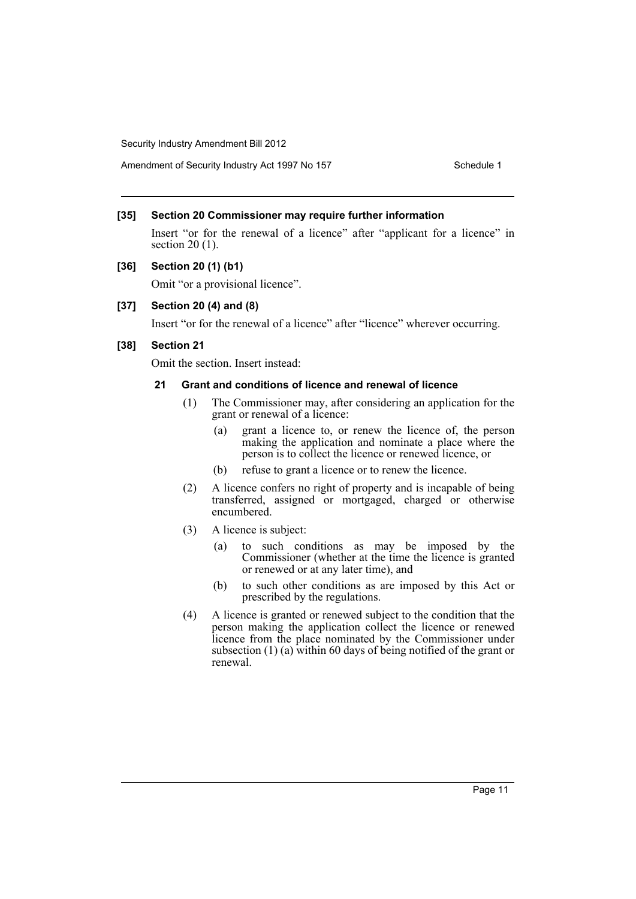Amendment of Security Industry Act 1997 No 157 Schedule 1

## **[35] Section 20 Commissioner may require further information**

Insert "or for the renewal of a licence" after "applicant for a licence" in section 20 (1).

## **[36] Section 20 (1) (b1)**

Omit "or a provisional licence".

## **[37] Section 20 (4) and (8)**

Insert "or for the renewal of a licence" after "licence" wherever occurring.

## **[38] Section 21**

Omit the section. Insert instead:

#### **21 Grant and conditions of licence and renewal of licence**

- (1) The Commissioner may, after considering an application for the grant or renewal of a licence:
	- (a) grant a licence to, or renew the licence of, the person making the application and nominate a place where the person is to collect the licence or renewed licence, or
	- (b) refuse to grant a licence or to renew the licence.
- (2) A licence confers no right of property and is incapable of being transferred, assigned or mortgaged, charged or otherwise encumbered.
- (3) A licence is subject:
	- (a) to such conditions as may be imposed by the Commissioner (whether at the time the licence is granted or renewed or at any later time), and
	- (b) to such other conditions as are imposed by this Act or prescribed by the regulations.
- (4) A licence is granted or renewed subject to the condition that the person making the application collect the licence or renewed licence from the place nominated by the Commissioner under subsection (1) (a) within 60 days of being notified of the grant or renewal.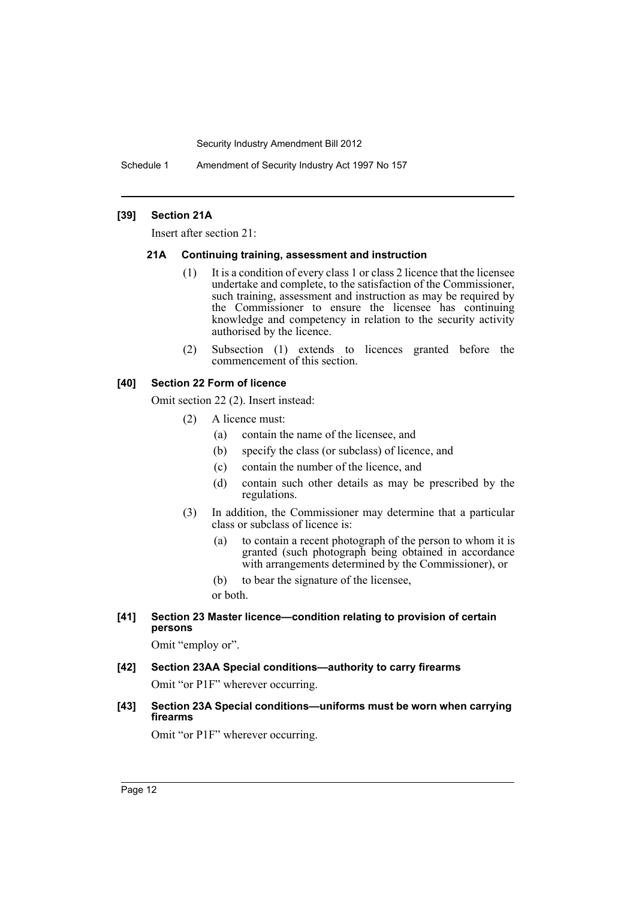Schedule 1 Amendment of Security Industry Act 1997 No 157

## **[39] Section 21A**

Insert after section 21:

#### **21A Continuing training, assessment and instruction**

- (1) It is a condition of every class 1 or class 2 licence that the licensee undertake and complete, to the satisfaction of the Commissioner, such training, assessment and instruction as may be required by the Commissioner to ensure the licensee has continuing knowledge and competency in relation to the security activity authorised by the licence.
- (2) Subsection (1) extends to licences granted before the commencement of this section.

## **[40] Section 22 Form of licence**

Omit section 22 (2). Insert instead:

- (2) A licence must:
	- (a) contain the name of the licensee, and
	- (b) specify the class (or subclass) of licence, and
	- (c) contain the number of the licence, and
	- (d) contain such other details as may be prescribed by the regulations.
- (3) In addition, the Commissioner may determine that a particular class or subclass of licence is:
	- (a) to contain a recent photograph of the person to whom it is granted (such photograph being obtained in accordance with arrangements determined by the Commissioner), or
	- (b) to bear the signature of the licensee,

or both.

**[41] Section 23 Master licence—condition relating to provision of certain persons**

Omit "employ or".

- **[42] Section 23AA Special conditions—authority to carry firearms** Omit "or P1F" wherever occurring.
- **[43] Section 23A Special conditions—uniforms must be worn when carrying firearms**

Omit "or P1F" wherever occurring.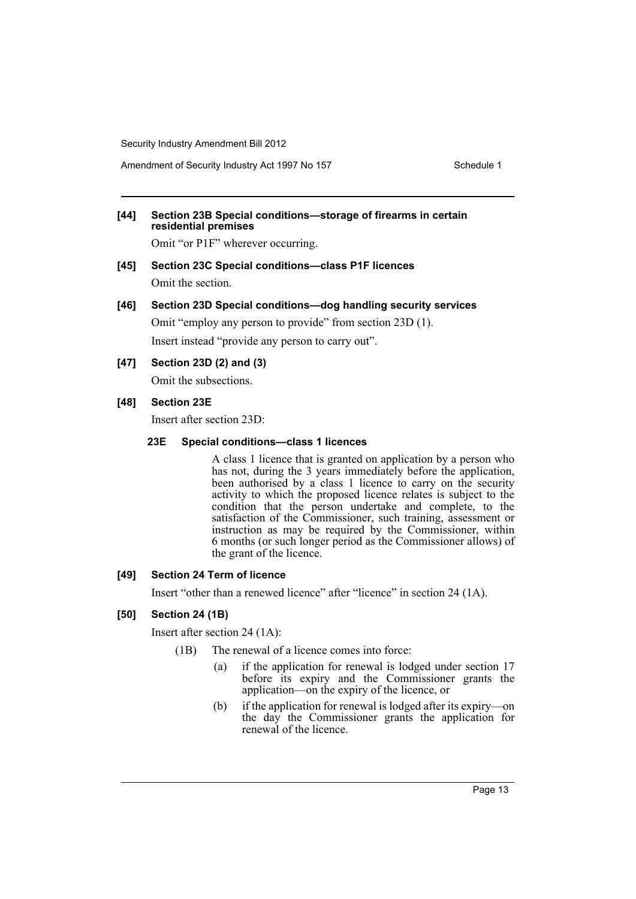Amendment of Security Industry Act 1997 No 157 Schedule 1

## **[44] Section 23B Special conditions—storage of firearms in certain residential premises**

Omit "or P1F" wherever occurring.

**[45] Section 23C Special conditions—class P1F licences** Omit the section.

## **[46] Section 23D Special conditions—dog handling security services**

Omit "employ any person to provide" from section 23D (1). Insert instead "provide any person to carry out".

## **[47] Section 23D (2) and (3)**

Omit the subsections.

## **[48] Section 23E**

Insert after section 23D:

## **23E Special conditions—class 1 licences**

A class 1 licence that is granted on application by a person who has not, during the 3 years immediately before the application, been authorised by a class 1 licence to carry on the security activity to which the proposed licence relates is subject to the condition that the person undertake and complete, to the satisfaction of the Commissioner, such training, assessment or instruction as may be required by the Commissioner, within 6 months (or such longer period as the Commissioner allows) of the grant of the licence.

## **[49] Section 24 Term of licence**

Insert "other than a renewed licence" after "licence" in section 24 (1A).

## **[50] Section 24 (1B)**

Insert after section 24 (1A):

(1B) The renewal of a licence comes into force:

- (a) if the application for renewal is lodged under section 17 before its expiry and the Commissioner grants the application—on the expiry of the licence, or
- (b) if the application for renewal is lodged after its expiry—on the day the Commissioner grants the application for renewal of the licence.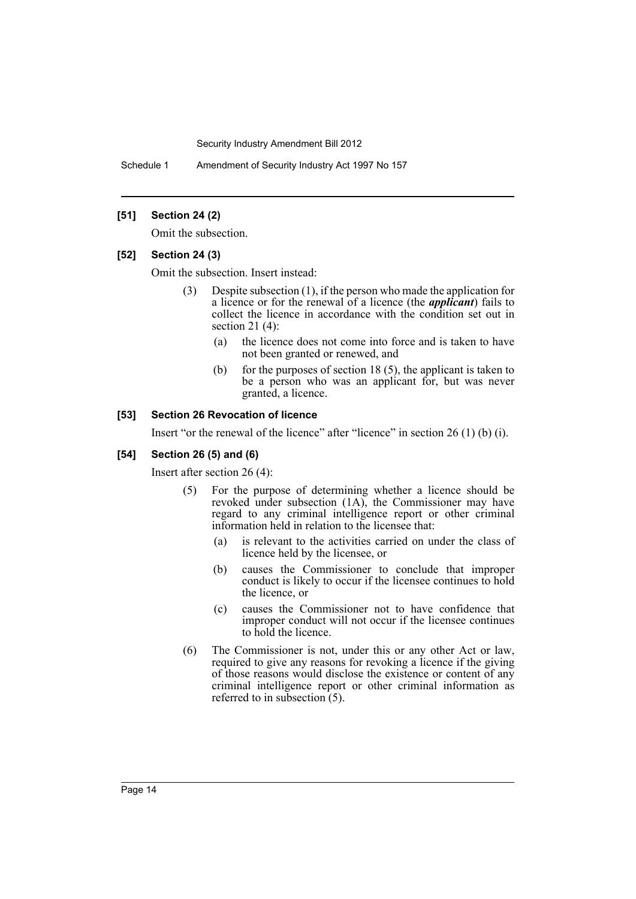Schedule 1 Amendment of Security Industry Act 1997 No 157

## **[51] Section 24 (2)**

Omit the subsection.

#### **[52] Section 24 (3)**

Omit the subsection. Insert instead:

- (3) Despite subsection (1), if the person who made the application for a licence or for the renewal of a licence (the *applicant*) fails to collect the licence in accordance with the condition set out in section 21 (4):
	- (a) the licence does not come into force and is taken to have not been granted or renewed, and
	- (b) for the purposes of section 18  $(5)$ , the applicant is taken to be a person who was an applicant for, but was never granted, a licence.

## **[53] Section 26 Revocation of licence**

Insert "or the renewal of the licence" after "licence" in section 26 (1) (b) (i).

#### **[54] Section 26 (5) and (6)**

Insert after section 26 (4):

- (5) For the purpose of determining whether a licence should be revoked under subsection (1A), the Commissioner may have regard to any criminal intelligence report or other criminal information held in relation to the licensee that:
	- (a) is relevant to the activities carried on under the class of licence held by the licensee, or
	- (b) causes the Commissioner to conclude that improper conduct is likely to occur if the licensee continues to hold the licence, or
	- (c) causes the Commissioner not to have confidence that improper conduct will not occur if the licensee continues to hold the licence.
- (6) The Commissioner is not, under this or any other Act or law, required to give any reasons for revoking a licence if the giving of those reasons would disclose the existence or content of any criminal intelligence report or other criminal information as referred to in subsection (5).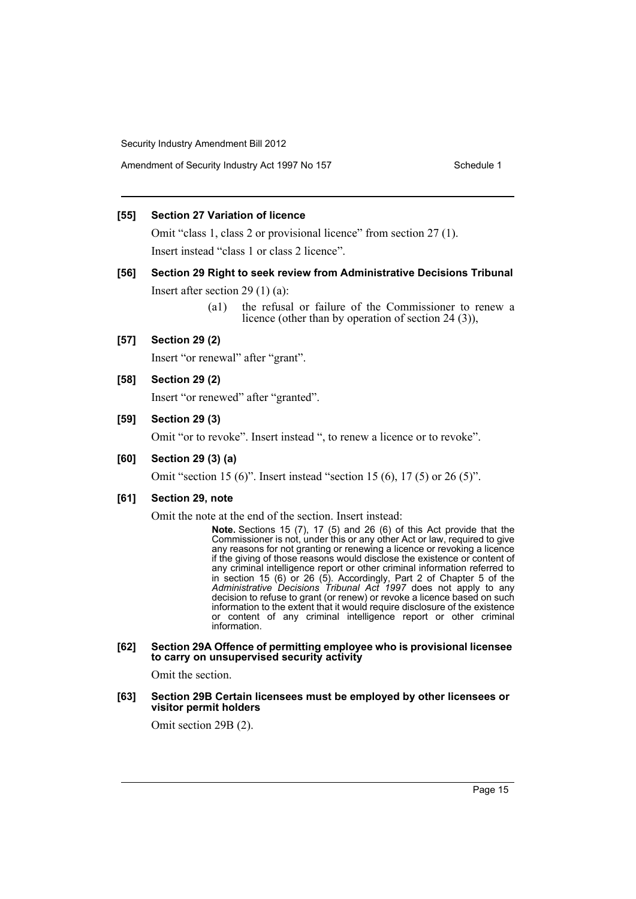## **[55] Section 27 Variation of licence**

Omit "class 1, class 2 or provisional licence" from section 27 (1). Insert instead "class 1 or class 2 licence".

## **[56] Section 29 Right to seek review from Administrative Decisions Tribunal** Insert after section 29 (1) (a):

(a1) the refusal or failure of the Commissioner to renew a licence (other than by operation of section 24 (3)),

## **[57] Section 29 (2)**

Insert "or renewal" after "grant".

## **[58] Section 29 (2)**

Insert "or renewed" after "granted".

#### **[59] Section 29 (3)**

Omit "or to revoke". Insert instead ", to renew a licence or to revoke".

## **[60] Section 29 (3) (a)**

Omit "section 15 (6)". Insert instead "section 15 (6), 17 (5) or 26 (5)".

## **[61] Section 29, note**

Omit the note at the end of the section. Insert instead:

**Note.** Sections 15 (7), 17 (5) and 26 (6) of this Act provide that the Commissioner is not, under this or any other Act or law, required to give any reasons for not granting or renewing a licence or revoking a licence if the giving of those reasons would disclose the existence or content of any criminal intelligence report or other criminal information referred to in section 15 (6) or 26 (5). Accordingly, Part 2 of Chapter 5 of the *Administrative Decisions Tribunal Act 1997* does not apply to any decision to refuse to grant (or renew) or revoke a licence based on such information to the extent that it would require disclosure of the existence or content of any criminal intelligence report or other criminal information.

#### **[62] Section 29A Offence of permitting employee who is provisional licensee to carry on unsupervised security activity**

Omit the section.

#### **[63] Section 29B Certain licensees must be employed by other licensees or visitor permit holders**

Omit section 29B (2).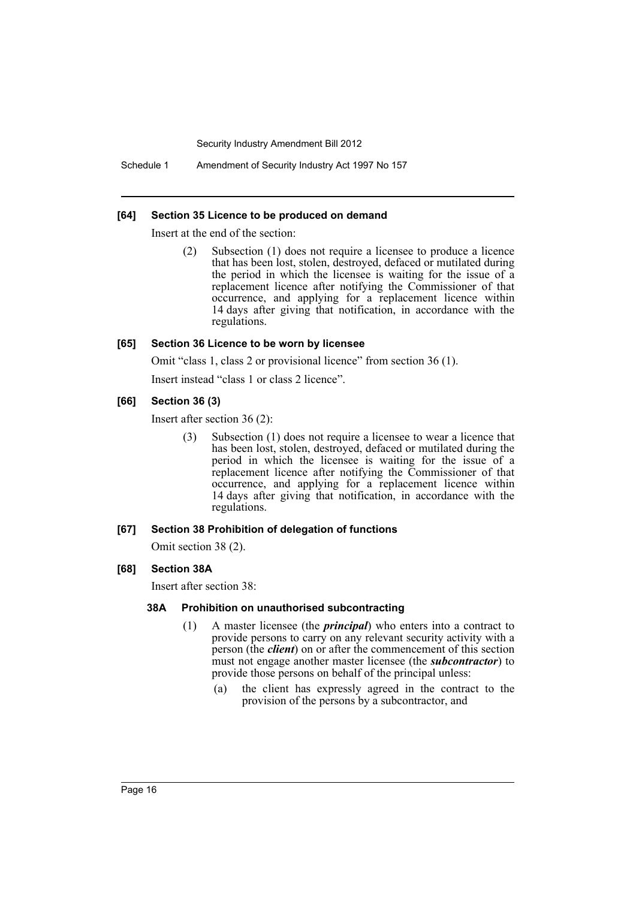Schedule 1 Amendment of Security Industry Act 1997 No 157

#### **[64] Section 35 Licence to be produced on demand**

Insert at the end of the section:

(2) Subsection (1) does not require a licensee to produce a licence that has been lost, stolen, destroyed, defaced or mutilated during the period in which the licensee is waiting for the issue of a replacement licence after notifying the Commissioner of that occurrence, and applying for a replacement licence within 14 days after giving that notification, in accordance with the regulations.

#### **[65] Section 36 Licence to be worn by licensee**

Omit "class 1, class 2 or provisional licence" from section 36 (1).

Insert instead "class 1 or class 2 licence".

## **[66] Section 36 (3)**

Insert after section 36 (2):

(3) Subsection (1) does not require a licensee to wear a licence that has been lost, stolen, destroyed, defaced or mutilated during the period in which the licensee is waiting for the issue of a replacement licence after notifying the Commissioner of that occurrence, and applying for a replacement licence within 14 days after giving that notification, in accordance with the regulations.

#### **[67] Section 38 Prohibition of delegation of functions**

Omit section 38 (2).

## **[68] Section 38A**

Insert after section 38:

#### **38A Prohibition on unauthorised subcontracting**

- (1) A master licensee (the *principal*) who enters into a contract to provide persons to carry on any relevant security activity with a person (the *client*) on or after the commencement of this section must not engage another master licensee (the *subcontractor*) to provide those persons on behalf of the principal unless:
	- (a) the client has expressly agreed in the contract to the provision of the persons by a subcontractor, and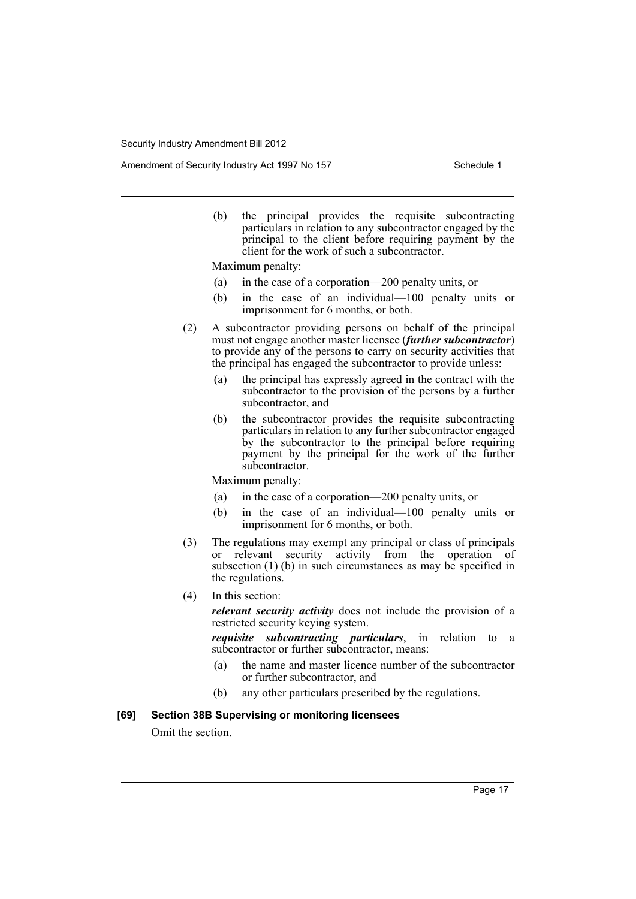Amendment of Security Industry Act 1997 No 157 Schedule 1

(b) the principal provides the requisite subcontracting particulars in relation to any subcontractor engaged by the principal to the client before requiring payment by the client for the work of such a subcontractor.

Maximum penalty:

- (a) in the case of a corporation—200 penalty units, or
- (b) in the case of an individual—100 penalty units or imprisonment for 6 months, or both.
- (2) A subcontractor providing persons on behalf of the principal must not engage another master licensee (*further subcontractor*) to provide any of the persons to carry on security activities that the principal has engaged the subcontractor to provide unless:
	- (a) the principal has expressly agreed in the contract with the subcontractor to the provision of the persons by a further subcontractor, and
	- (b) the subcontractor provides the requisite subcontracting particulars in relation to any further subcontractor engaged by the subcontractor to the principal before requiring payment by the principal for the work of the further subcontractor.

Maximum penalty:

- (a) in the case of a corporation—200 penalty units, or
- (b) in the case of an individual—100 penalty units or imprisonment for 6 months, or both.
- (3) The regulations may exempt any principal or class of principals or relevant security activity from the operation of subsection (1) (b) in such circumstances as may be specified in the regulations.
- (4) In this section:

*relevant security activity* does not include the provision of a restricted security keying system.

*requisite subcontracting particulars*, in relation to a subcontractor or further subcontractor, means:

- (a) the name and master licence number of the subcontractor or further subcontractor, and
- (b) any other particulars prescribed by the regulations.

## **[69] Section 38B Supervising or monitoring licensees**

Omit the section.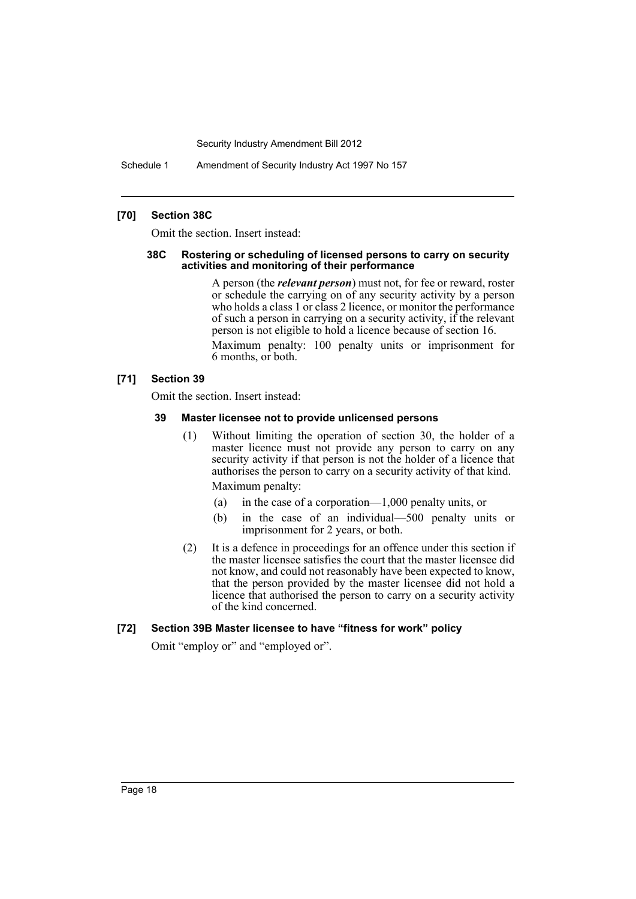Schedule 1 Amendment of Security Industry Act 1997 No 157

## **[70] Section 38C**

Omit the section. Insert instead:

#### **38C Rostering or scheduling of licensed persons to carry on security activities and monitoring of their performance**

A person (the *relevant person*) must not, for fee or reward, roster or schedule the carrying on of any security activity by a person who holds a class 1 or class 2 licence, or monitor the performance of such a person in carrying on a security activity, if the relevant person is not eligible to hold a licence because of section 16.

Maximum penalty: 100 penalty units or imprisonment for 6 months, or both.

## **[71] Section 39**

Omit the section. Insert instead:

#### **39 Master licensee not to provide unlicensed persons**

(1) Without limiting the operation of section 30, the holder of a master licence must not provide any person to carry on any security activity if that person is not the holder of a licence that authorises the person to carry on a security activity of that kind. Maximum penalty:

(a) in the case of a corporation—1,000 penalty units, or

- (b) in the case of an individual—500 penalty units or imprisonment for 2 years, or both.
- (2) It is a defence in proceedings for an offence under this section if the master licensee satisfies the court that the master licensee did not know, and could not reasonably have been expected to know, that the person provided by the master licensee did not hold a licence that authorised the person to carry on a security activity of the kind concerned.

## **[72] Section 39B Master licensee to have "fitness for work" policy**

Omit "employ or" and "employed or".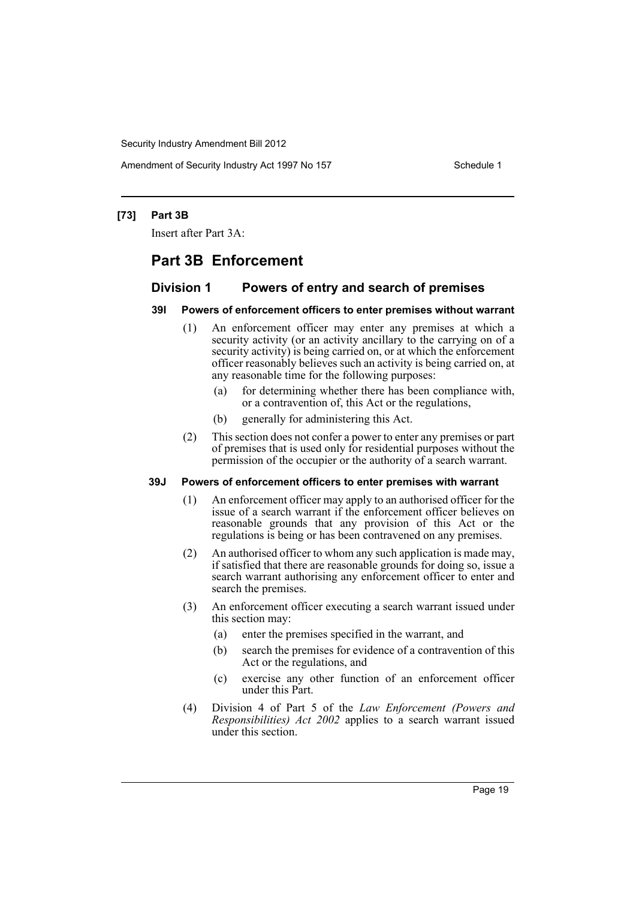Amendment of Security Industry Act 1997 No 157 Schedule 1

## **[73] Part 3B**

Insert after Part 3A:

## **Part 3B Enforcement**

## **Division 1 Powers of entry and search of premises**

## **39I Powers of enforcement officers to enter premises without warrant**

- (1) An enforcement officer may enter any premises at which a security activity (or an activity ancillary to the carrying on of a security activity) is being carried on, or at which the enforcement officer reasonably believes such an activity is being carried on, at any reasonable time for the following purposes:
	- (a) for determining whether there has been compliance with, or a contravention of, this Act or the regulations,
	- (b) generally for administering this Act.
- (2) This section does not confer a power to enter any premises or part of premises that is used only for residential purposes without the permission of the occupier or the authority of a search warrant.

#### **39J Powers of enforcement officers to enter premises with warrant**

- (1) An enforcement officer may apply to an authorised officer for the issue of a search warrant if the enforcement officer believes on reasonable grounds that any provision of this Act or the regulations is being or has been contravened on any premises.
- (2) An authorised officer to whom any such application is made may, if satisfied that there are reasonable grounds for doing so, issue a search warrant authorising any enforcement officer to enter and search the premises.
- (3) An enforcement officer executing a search warrant issued under this section may:
	- (a) enter the premises specified in the warrant, and
	- (b) search the premises for evidence of a contravention of this Act or the regulations, and
	- (c) exercise any other function of an enforcement officer under this Part.
- (4) Division 4 of Part 5 of the *Law Enforcement (Powers and Responsibilities) Act 2002* applies to a search warrant issued under this section.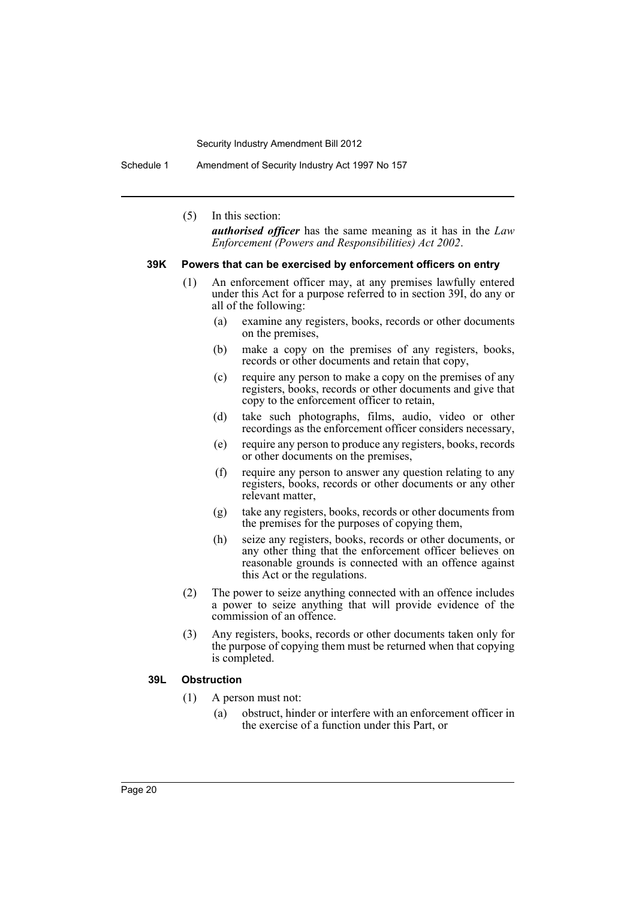Schedule 1 Amendment of Security Industry Act 1997 No 157

(5) In this section:

*authorised officer* has the same meaning as it has in the *Law Enforcement (Powers and Responsibilities) Act 2002*.

#### **39K Powers that can be exercised by enforcement officers on entry**

- (1) An enforcement officer may, at any premises lawfully entered under this Act for a purpose referred to in section 39I, do any or all of the following:
	- (a) examine any registers, books, records or other documents on the premises,
	- (b) make a copy on the premises of any registers, books, records or other documents and retain that copy,
	- (c) require any person to make a copy on the premises of any registers, books, records or other documents and give that copy to the enforcement officer to retain,
	- (d) take such photographs, films, audio, video or other recordings as the enforcement officer considers necessary,
	- (e) require any person to produce any registers, books, records or other documents on the premises,
	- (f) require any person to answer any question relating to any registers, books, records or other documents or any other relevant matter,
	- (g) take any registers, books, records or other documents from the premises for the purposes of copying them,
	- (h) seize any registers, books, records or other documents, or any other thing that the enforcement officer believes on reasonable grounds is connected with an offence against this Act or the regulations.
- (2) The power to seize anything connected with an offence includes a power to seize anything that will provide evidence of the commission of an offence.
- (3) Any registers, books, records or other documents taken only for the purpose of copying them must be returned when that copying is completed.

#### **39L Obstruction**

- (1) A person must not:
	- (a) obstruct, hinder or interfere with an enforcement officer in the exercise of a function under this Part, or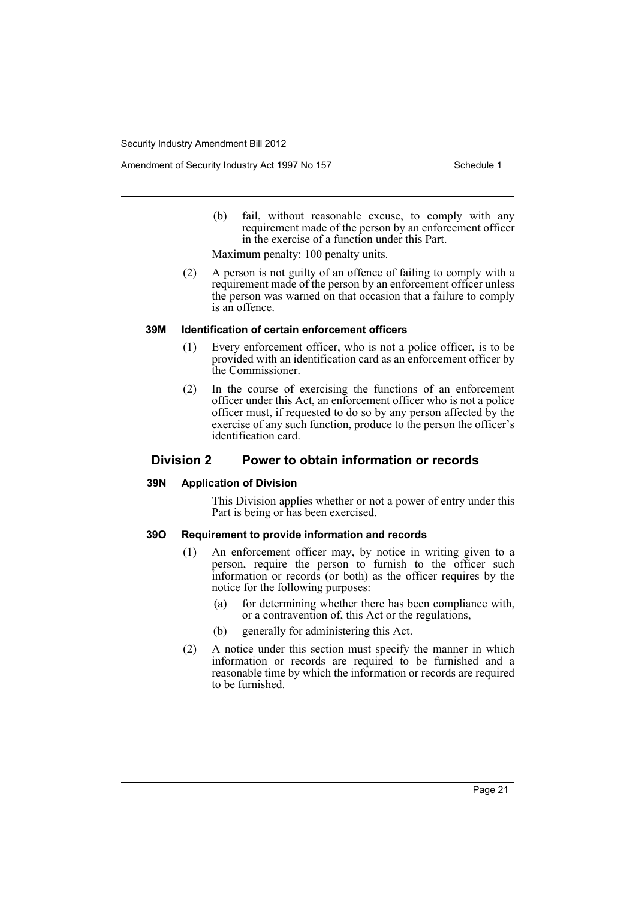Amendment of Security Industry Act 1997 No 157 Schedule 1

(b) fail, without reasonable excuse, to comply with any requirement made of the person by an enforcement officer in the exercise of a function under this Part.

Maximum penalty: 100 penalty units.

(2) A person is not guilty of an offence of failing to comply with a requirement made of the person by an enforcement officer unless the person was warned on that occasion that a failure to comply is an offence.

#### **39M Identification of certain enforcement officers**

- (1) Every enforcement officer, who is not a police officer, is to be provided with an identification card as an enforcement officer by the Commissioner.
- (2) In the course of exercising the functions of an enforcement officer under this Act, an enforcement officer who is not a police officer must, if requested to do so by any person affected by the exercise of any such function, produce to the person the officer's identification card.

## **Division 2 Power to obtain information or records**

## **39N Application of Division**

This Division applies whether or not a power of entry under this Part is being or has been exercised.

## **39O Requirement to provide information and records**

- (1) An enforcement officer may, by notice in writing given to a person, require the person to furnish to the officer such information or records (or both) as the officer requires by the notice for the following purposes:
	- (a) for determining whether there has been compliance with, or a contravention of, this Act or the regulations,
	- (b) generally for administering this Act.
- (2) A notice under this section must specify the manner in which information or records are required to be furnished and a reasonable time by which the information or records are required to be furnished.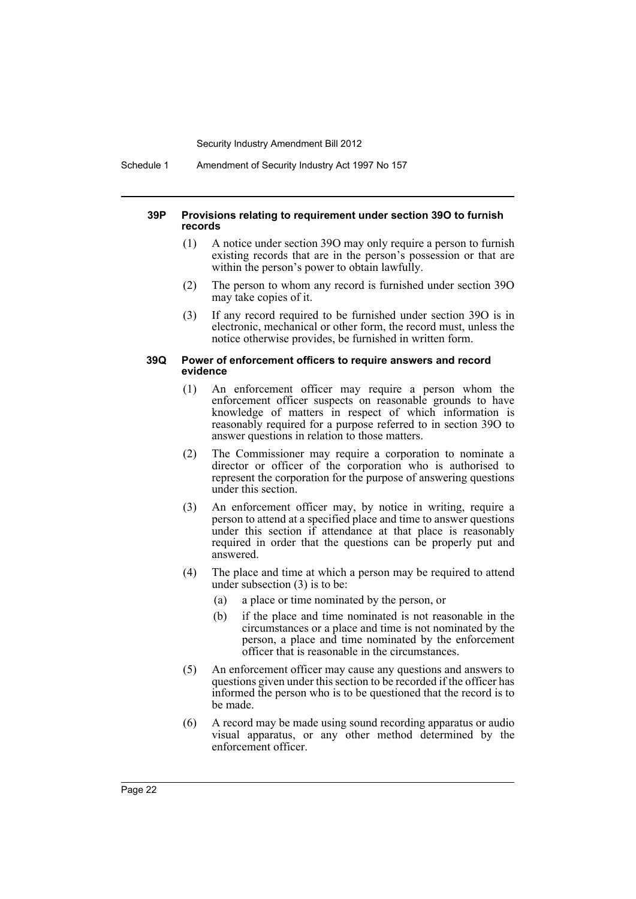Schedule 1 Amendment of Security Industry Act 1997 No 157

#### **39P Provisions relating to requirement under section 39O to furnish records**

- (1) A notice under section 39O may only require a person to furnish existing records that are in the person's possession or that are within the person's power to obtain lawfully.
- (2) The person to whom any record is furnished under section 39O may take copies of it.
- (3) If any record required to be furnished under section 39O is in electronic, mechanical or other form, the record must, unless the notice otherwise provides, be furnished in written form.

#### **39Q Power of enforcement officers to require answers and record evidence**

- (1) An enforcement officer may require a person whom the enforcement officer suspects on reasonable grounds to have knowledge of matters in respect of which information is reasonably required for a purpose referred to in section 39O to answer questions in relation to those matters.
- (2) The Commissioner may require a corporation to nominate a director or officer of the corporation who is authorised to represent the corporation for the purpose of answering questions under this section.
- (3) An enforcement officer may, by notice in writing, require a person to attend at a specified place and time to answer questions under this section if attendance at that place is reasonably required in order that the questions can be properly put and answered.
- (4) The place and time at which a person may be required to attend under subsection (3) is to be:
	- (a) a place or time nominated by the person, or
	- (b) if the place and time nominated is not reasonable in the circumstances or a place and time is not nominated by the person, a place and time nominated by the enforcement officer that is reasonable in the circumstances.
- (5) An enforcement officer may cause any questions and answers to questions given under this section to be recorded if the officer has informed the person who is to be questioned that the record is to be made.
- (6) A record may be made using sound recording apparatus or audio visual apparatus, or any other method determined by the enforcement officer.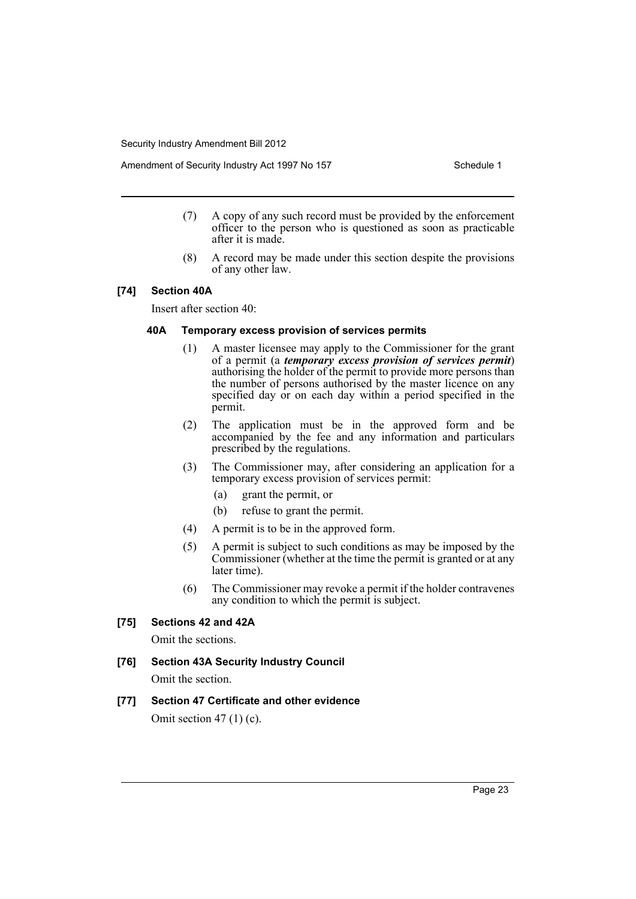Amendment of Security Industry Act 1997 No 157 Schedule 1

- (7) A copy of any such record must be provided by the enforcement officer to the person who is questioned as soon as practicable after it is made.
- (8) A record may be made under this section despite the provisions of any other law.

## **[74] Section 40A**

Insert after section 40:

## **40A Temporary excess provision of services permits**

- (1) A master licensee may apply to the Commissioner for the grant of a permit (a *temporary excess provision of services permit*) authorising the holder of the permit to provide more persons than the number of persons authorised by the master licence on any specified day or on each day within a period specified in the permit.
- (2) The application must be in the approved form and be accompanied by the fee and any information and particulars prescribed by the regulations.
- (3) The Commissioner may, after considering an application for a temporary excess provision of services permit:
	- (a) grant the permit, or
	- (b) refuse to grant the permit.
- (4) A permit is to be in the approved form.
- (5) A permit is subject to such conditions as may be imposed by the Commissioner (whether at the time the permit is granted or at any later time).
- (6) The Commissioner may revoke a permit if the holder contravenes any condition to which the permit is subject.

## **[75] Sections 42 and 42A**

Omit the sections.

# **[76] Section 43A Security Industry Council**

Omit the section.

## **[77] Section 47 Certificate and other evidence**

Omit section  $47(1)(c)$ .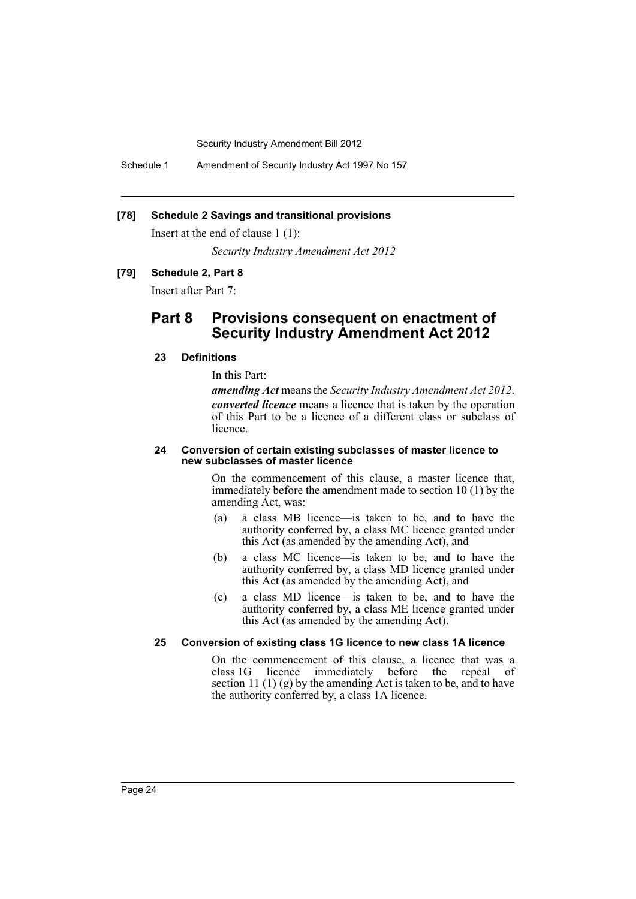Schedule 1 Amendment of Security Industry Act 1997 No 157

## **[78] Schedule 2 Savings and transitional provisions**

Insert at the end of clause 1 (1):

*Security Industry Amendment Act 2012*

## **[79] Schedule 2, Part 8**

Insert after Part 7:

## **Part 8 Provisions consequent on enactment of Security Industry Amendment Act 2012**

## **23 Definitions**

In this Part:

*amending Act* means the *Security Industry Amendment Act 2012*. *converted licence* means a licence that is taken by the operation of this Part to be a licence of a different class or subclass of licence.

#### **24 Conversion of certain existing subclasses of master licence to new subclasses of master licence**

On the commencement of this clause, a master licence that, immediately before the amendment made to section 10 (1) by the amending Act, was:

- (a) a class MB licence—is taken to be, and to have the authority conferred by, a class MC licence granted under this Act (as amended by the amending Act), and
- (b) a class MC licence—is taken to be, and to have the authority conferred by, a class MD licence granted under this Act (as amended by the amending Act), and
- (c) a class MD licence—is taken to be, and to have the authority conferred by, a class ME licence granted under this Act (as amended by the amending Act).

## **25 Conversion of existing class 1G licence to new class 1A licence**

On the commencement of this clause, a licence that was a class 1G licence immediately before the repeal of section 11 (1) (g) by the amending Act is taken to be, and to have the authority conferred by, a class 1A licence.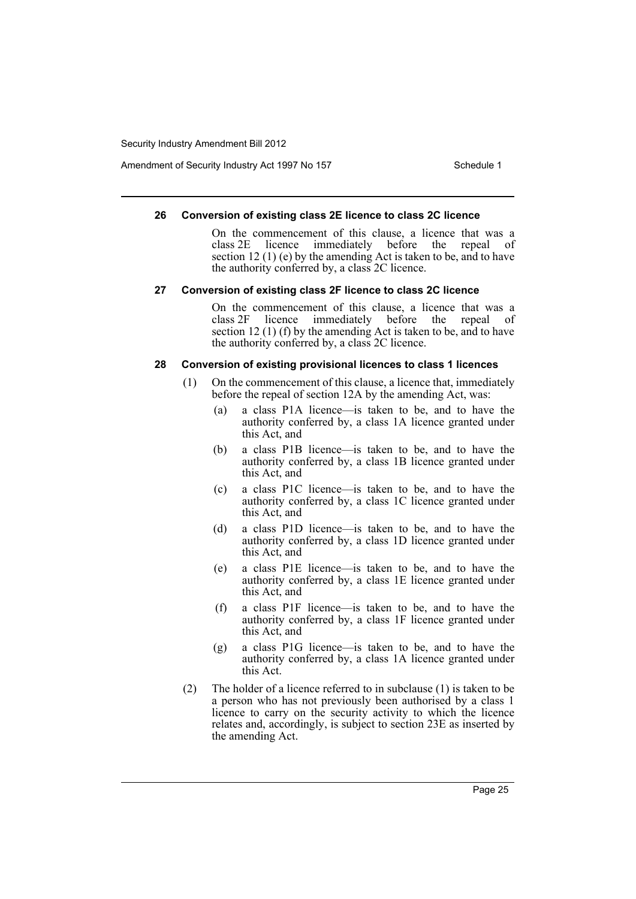Amendment of Security Industry Act 1997 No 157 Schedule 1

#### **26 Conversion of existing class 2E licence to class 2C licence**

On the commencement of this clause, a licence that was a class 2E licence immediately before the repeal of section 12 (1) (e) by the amending Act is taken to be, and to have the authority conferred by, a class 2C licence.

#### **27 Conversion of existing class 2F licence to class 2C licence**

On the commencement of this clause, a licence that was a class 2F licence immediately before the repeal of section 12 (1) (f) by the amending Act is taken to be, and to have the authority conferred by, a class 2C licence.

#### **28 Conversion of existing provisional licences to class 1 licences**

- (1) On the commencement of this clause, a licence that, immediately before the repeal of section 12A by the amending Act, was:
	- (a) a class P1A licence—is taken to be, and to have the authority conferred by, a class 1A licence granted under this Act, and
	- (b) a class P1B licence—is taken to be, and to have the authority conferred by, a class 1B licence granted under this Act, and
	- (c) a class P1C licence—is taken to be, and to have the authority conferred by, a class 1C licence granted under this Act, and
	- (d) a class P1D licence—is taken to be, and to have the authority conferred by, a class 1D licence granted under this Act, and
	- (e) a class P1E licence—is taken to be, and to have the authority conferred by, a class 1E licence granted under this Act, and
	- (f) a class P1F licence—is taken to be, and to have the authority conferred by, a class 1F licence granted under this Act, and
	- (g) a class P1G licence—is taken to be, and to have the authority conferred by, a class 1A licence granted under this Act.
- (2) The holder of a licence referred to in subclause (1) is taken to be a person who has not previously been authorised by a class 1 licence to carry on the security activity to which the licence relates and, accordingly, is subject to section 23E as inserted by the amending Act.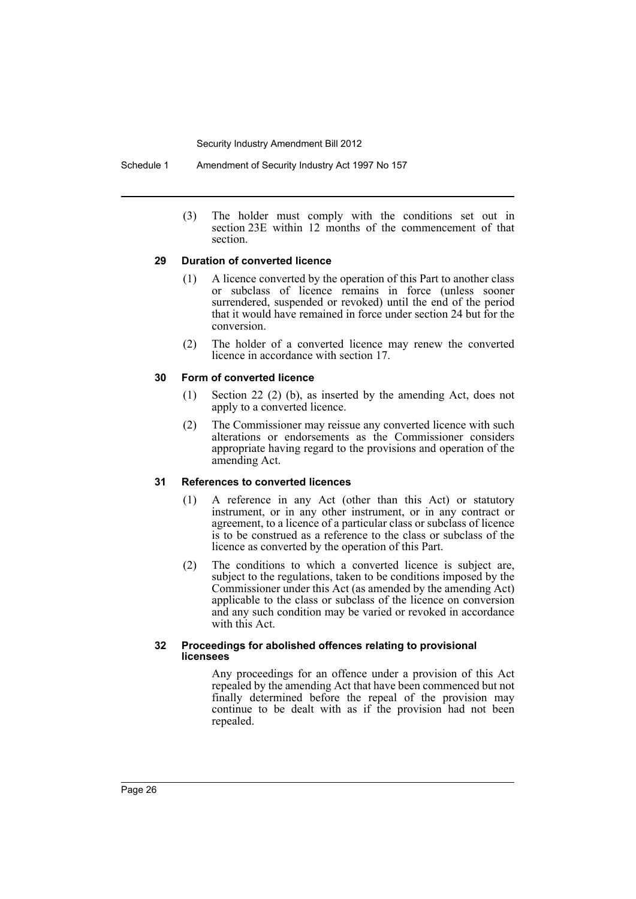Schedule 1 Amendment of Security Industry Act 1997 No 157

(3) The holder must comply with the conditions set out in section 23E within 12 months of the commencement of that section.

## **29 Duration of converted licence**

- (1) A licence converted by the operation of this Part to another class or subclass of licence remains in force (unless sooner surrendered, suspended or revoked) until the end of the period that it would have remained in force under section 24 but for the conversion.
- (2) The holder of a converted licence may renew the converted licence in accordance with section 17.

## **30 Form of converted licence**

- (1) Section 22 (2) (b), as inserted by the amending Act, does not apply to a converted licence.
- (2) The Commissioner may reissue any converted licence with such alterations or endorsements as the Commissioner considers appropriate having regard to the provisions and operation of the amending Act.

## **31 References to converted licences**

- (1) A reference in any Act (other than this Act) or statutory instrument, or in any other instrument, or in any contract or agreement, to a licence of a particular class or subclass of licence is to be construed as a reference to the class or subclass of the licence as converted by the operation of this Part.
- (2) The conditions to which a converted licence is subject are, subject to the regulations, taken to be conditions imposed by the Commissioner under this Act (as amended by the amending Act) applicable to the class or subclass of the licence on conversion and any such condition may be varied or revoked in accordance with this Act.

## **32 Proceedings for abolished offences relating to provisional licensees**

Any proceedings for an offence under a provision of this Act repealed by the amending Act that have been commenced but not finally determined before the repeal of the provision may continue to be dealt with as if the provision had not been repealed.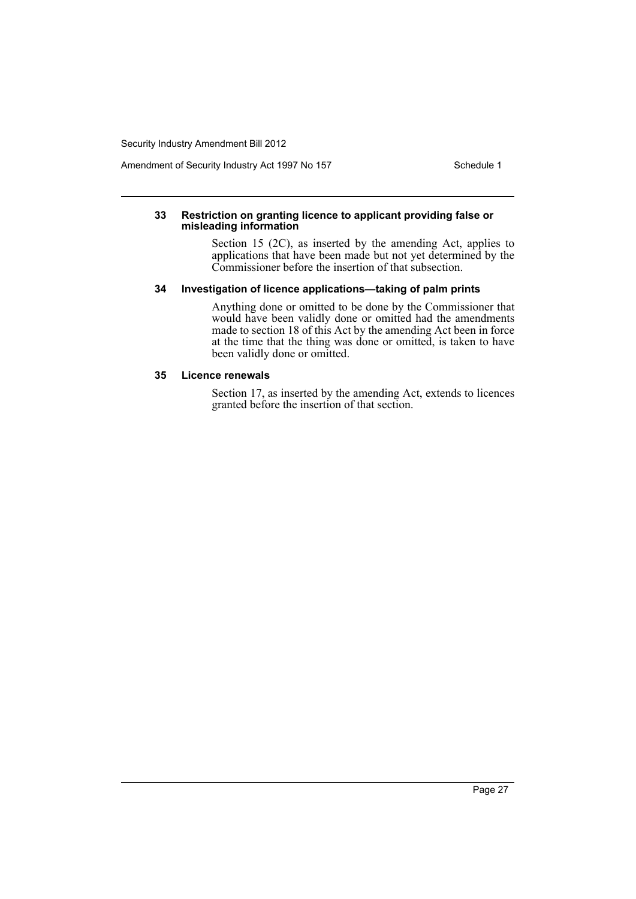Amendment of Security Industry Act 1997 No 157 Schedule 1

#### **33 Restriction on granting licence to applicant providing false or misleading information**

Section 15 (2C), as inserted by the amending Act, applies to applications that have been made but not yet determined by the Commissioner before the insertion of that subsection.

## **34 Investigation of licence applications—taking of palm prints**

Anything done or omitted to be done by the Commissioner that would have been validly done or omitted had the amendments made to section 18 of this Act by the amending Act been in force at the time that the thing was done or omitted, is taken to have been validly done or omitted.

#### **35 Licence renewals**

Section 17, as inserted by the amending Act, extends to licences granted before the insertion of that section.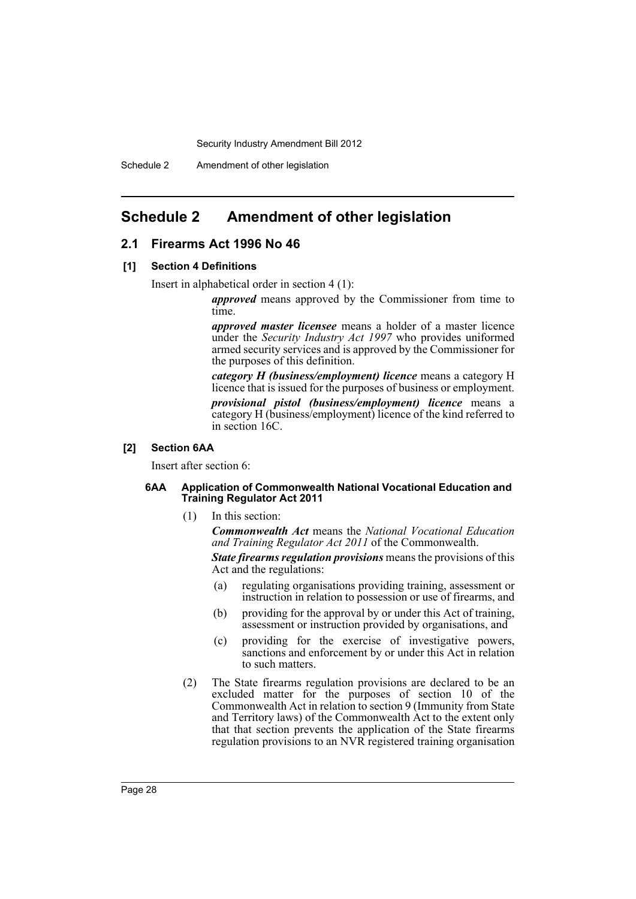## <span id="page-29-0"></span>**Schedule 2 Amendment of other legislation**

## **2.1 Firearms Act 1996 No 46**

#### **[1] Section 4 Definitions**

Insert in alphabetical order in section 4 (1):

*approved* means approved by the Commissioner from time to time.

*approved master licensee* means a holder of a master licence under the *Security Industry Act 1997* who provides uniformed armed security services and is approved by the Commissioner for the purposes of this definition.

*category H (business/employment) licence* means a category H licence that is issued for the purposes of business or employment.

*provisional pistol (business/employment) licence* means a category H (business/employment) licence of the kind referred to in section 16C.

## **[2] Section 6AA**

Insert after section 6:

#### **6AA Application of Commonwealth National Vocational Education and Training Regulator Act 2011**

(1) In this section:

*Commonwealth Act* means the *National Vocational Education and Training Regulator Act 2011* of the Commonwealth.

*State firearms regulation provisions* means the provisions of this Act and the regulations:

- (a) regulating organisations providing training, assessment or instruction in relation to possession or use of firearms, and
- (b) providing for the approval by or under this Act of training, assessment or instruction provided by organisations, and
- (c) providing for the exercise of investigative powers, sanctions and enforcement by or under this Act in relation to such matters.
- (2) The State firearms regulation provisions are declared to be an excluded matter for the purposes of section 10 of the Commonwealth Act in relation to section 9 (Immunity from State and Territory laws) of the Commonwealth Act to the extent only that that section prevents the application of the State firearms regulation provisions to an NVR registered training organisation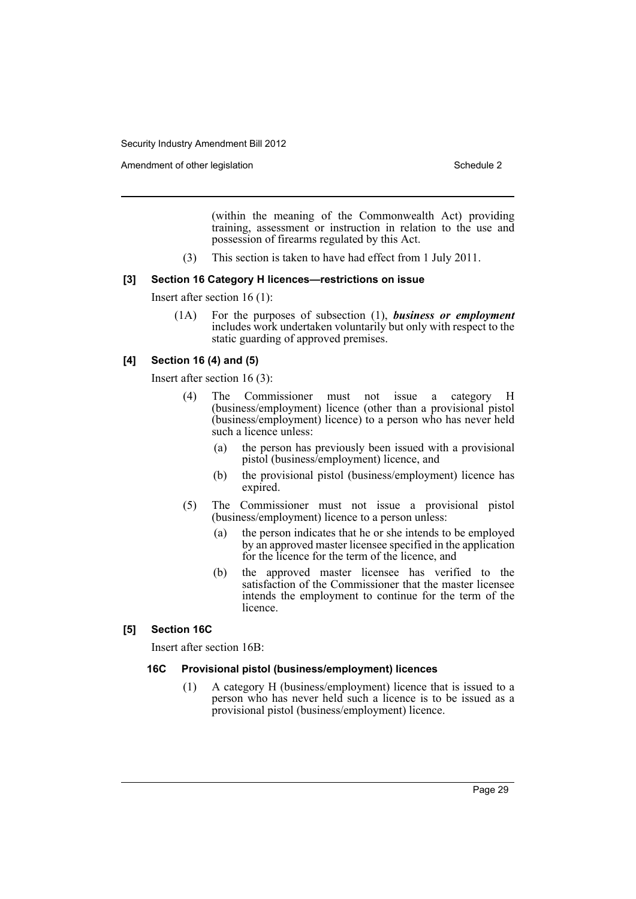Amendment of other legislation Schedule 2 and Schedule 2

(within the meaning of the Commonwealth Act) providing training, assessment or instruction in relation to the use and possession of firearms regulated by this Act.

(3) This section is taken to have had effect from 1 July 2011.

## **[3] Section 16 Category H licences—restrictions on issue**

Insert after section 16 (1):

(1A) For the purposes of subsection (1), *business or employment* includes work undertaken voluntarily but only with respect to the static guarding of approved premises.

## **[4] Section 16 (4) and (5)**

Insert after section 16 (3):

- (4) The Commissioner must not issue a category H (business/employment) licence (other than a provisional pistol (business/employment) licence) to a person who has never held such a licence unless:
	- (a) the person has previously been issued with a provisional pistol (business/employment) licence, and
	- (b) the provisional pistol (business/employment) licence has expired.
- (5) The Commissioner must not issue a provisional pistol (business/employment) licence to a person unless:
	- (a) the person indicates that he or she intends to be employed by an approved master licensee specified in the application for the licence for the term of the licence, and
	- (b) the approved master licensee has verified to the satisfaction of the Commissioner that the master licensee intends the employment to continue for the term of the licence.

## **[5] Section 16C**

Insert after section 16B:

## **16C Provisional pistol (business/employment) licences**

(1) A category H (business/employment) licence that is issued to a person who has never held such a licence is to be issued as a provisional pistol (business/employment) licence.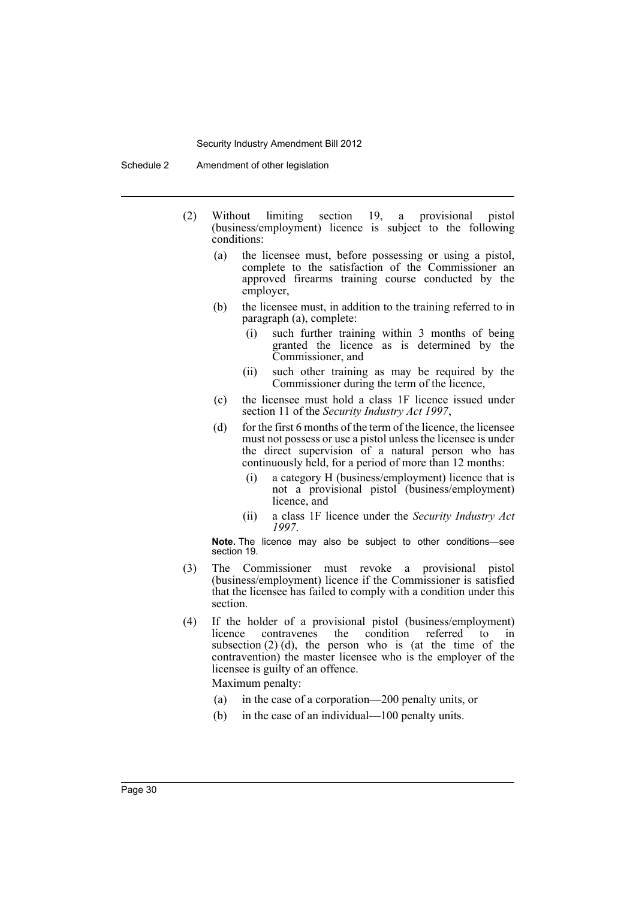- (2) Without limiting section 19, a provisional pistol (business/employment) licence is subject to the following conditions:
	- (a) the licensee must, before possessing or using a pistol, complete to the satisfaction of the Commissioner an approved firearms training course conducted by the employer,
	- (b) the licensee must, in addition to the training referred to in paragraph (a), complete:
		- (i) such further training within 3 months of being granted the licence as is determined by the Commissioner, and
		- (ii) such other training as may be required by the Commissioner during the term of the licence,
	- (c) the licensee must hold a class 1F licence issued under section 11 of the *Security Industry Act 1997*,
	- (d) for the first 6 months of the term of the licence, the licensee must not possess or use a pistol unless the licensee is under the direct supervision of a natural person who has continuously held, for a period of more than 12 months:
		- (i) a category H (business/employment) licence that is not a provisional pistol (business/employment) licence, and
		- (ii) a class 1F licence under the *Security Industry Act 1997*.

**Note.** The licence may also be subject to other conditions—see section 19.

- (3) The Commissioner must revoke a provisional pistol (business/employment) licence if the Commissioner is satisfied that the licensee has failed to comply with a condition under this section.
- (4) If the holder of a provisional pistol (business/employment) licence contravenes the condition referred to in subsection  $(2)$  (d), the person who is (at the time of the contravention) the master licensee who is the employer of the licensee is guilty of an offence.

Maximum penalty:

- (a) in the case of a corporation—200 penalty units, or
- (b) in the case of an individual—100 penalty units.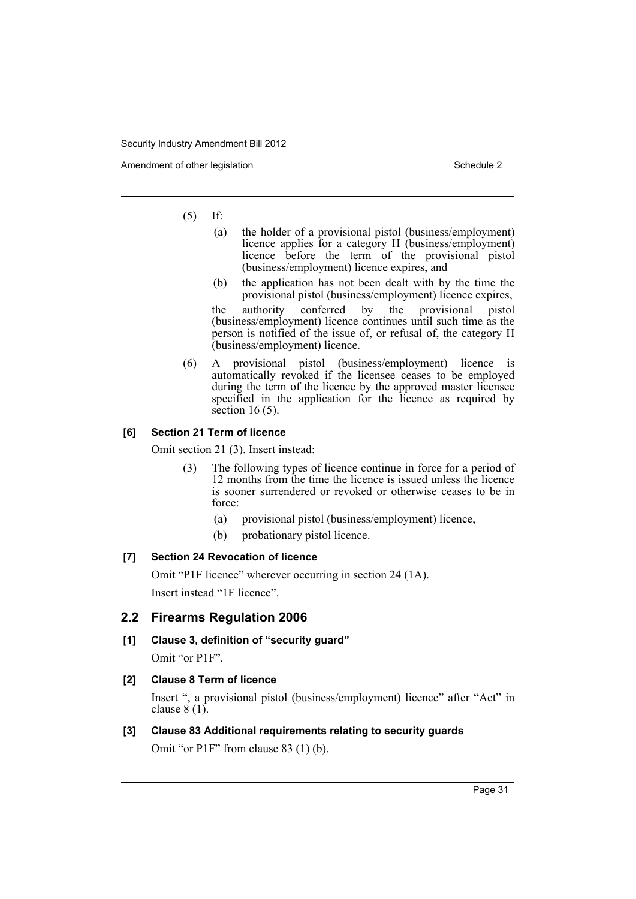Amendment of other legislation Schedule 2 and Schedule 2

## (5) If:

- (a) the holder of a provisional pistol (business/employment) licence applies for a category H (business/employment) licence before the term of the provisional pistol (business/employment) licence expires, and
- (b) the application has not been dealt with by the time the provisional pistol (business/employment) licence expires, the authority conferred by the provisional pistol (business/employment) licence continues until such time as the person is notified of the issue of, or refusal of, the category H (business/employment) licence.
- (6) A provisional pistol (business/employment) licence is automatically revoked if the licensee ceases to be employed during the term of the licence by the approved master licensee specified in the application for the licence as required by section 16 (5).

## **[6] Section 21 Term of licence**

Omit section 21 (3). Insert instead:

- (3) The following types of licence continue in force for a period of 12 months from the time the licence is issued unless the licence is sooner surrendered or revoked or otherwise ceases to be in force:
	- (a) provisional pistol (business/employment) licence,
	- (b) probationary pistol licence.

## **[7] Section 24 Revocation of licence**

Omit "P1F licence" wherever occurring in section 24 (1A). Insert instead "1F licence".

## **2.2 Firearms Regulation 2006**

**[1] Clause 3, definition of "security guard"**

Omit "or P1F".

## **[2] Clause 8 Term of licence**

Insert ", a provisional pistol (business/employment) licence" after "Act" in clause  $8(1)$ .

## **[3] Clause 83 Additional requirements relating to security guards** Omit "or P1F" from clause 83 (1) (b).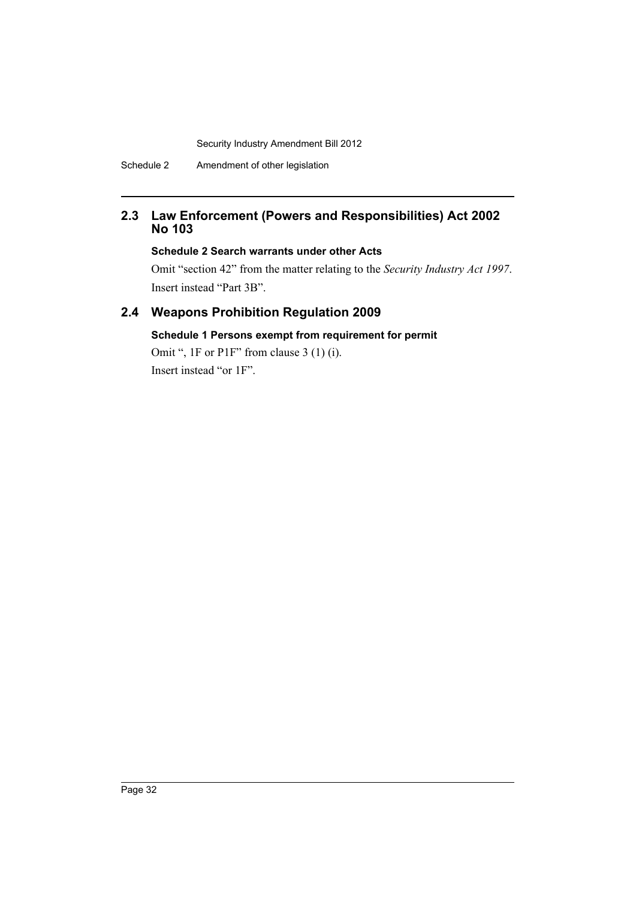## **2.3 Law Enforcement (Powers and Responsibilities) Act 2002 No 103**

## **Schedule 2 Search warrants under other Acts**

Omit "section 42" from the matter relating to the *Security Industry Act 1997*. Insert instead "Part 3B".

# **2.4 Weapons Prohibition Regulation 2009**

## **Schedule 1 Persons exempt from requirement for permit**

Omit ", 1F or P1F" from clause 3 (1) (i). Insert instead "or 1F".